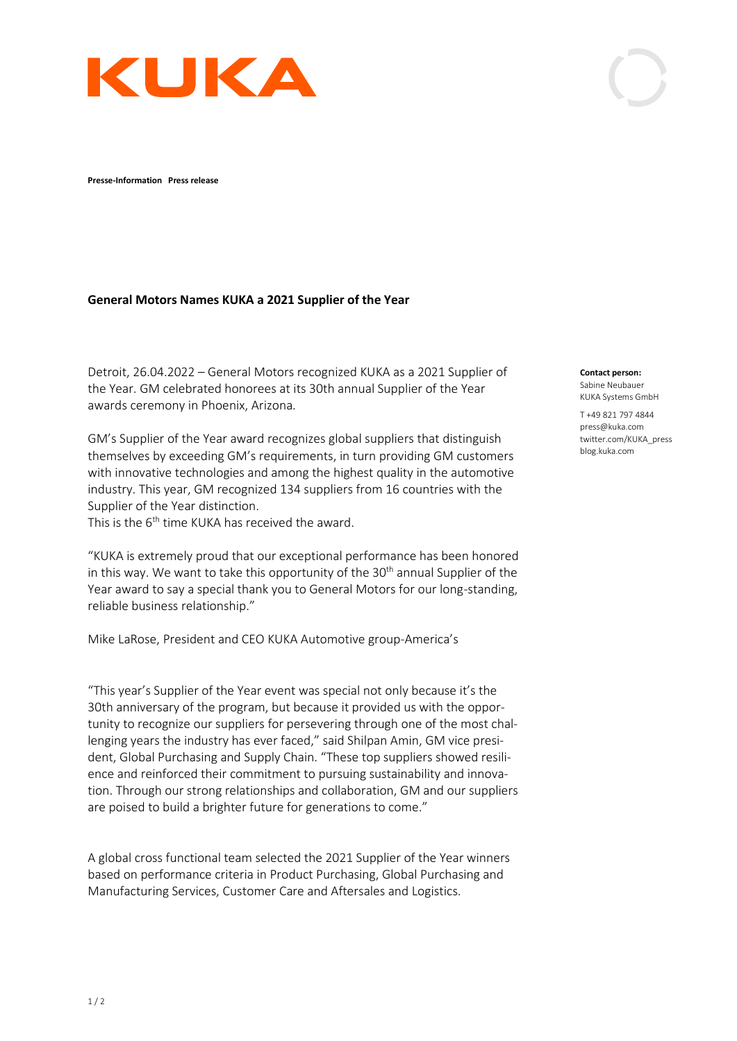

**Presse-Information Press release** 

## **General Motors Names KUKA a 2021 Supplier of the Year**

Detroit, 26.04.2022 – General Motors recognized KUKA as a 2021 Supplier of the Year. GM celebrated honorees at its 30th annual Supplier of the Year awards ceremony in Phoenix, Arizona.

GM's Supplier of the Year award recognizes global suppliers that distinguish themselves by exceeding GM's requirements, in turn providing GM customers with innovative technologies and among the highest quality in the automotive industry. This year, GM recognized 134 suppliers from 16 countries with the Supplier of the Year distinction.

This is the 6<sup>th</sup> time KUKA has received the award.

"KUKA is extremely proud that our exceptional performance has been honored in this way. We want to take this opportunity of the  $30<sup>th</sup>$  annual Supplier of the Year award to say a special thank you to General Motors for our long-standing, reliable business relationship."

Mike LaRose, President and CEO KUKA Automotive group-America's

"This year's Supplier of the Year event was special not only because it's the 30th anniversary of the program, but because it provided us with the opportunity to recognize our suppliers for persevering through one of the most challenging years the industry has ever faced," said Shilpan Amin, GM vice president, Global Purchasing and Supply Chain. "These top suppliers showed resilience and reinforced their commitment to pursuing sustainability and innovation. Through our strong relationships and collaboration, GM and our suppliers are poised to build a brighter future for generations to come."

A global cross functional team selected the 2021 Supplier of the Year winners based on performance criteria in Product Purchasing, Global Purchasing and Manufacturing Services, Customer Care and Aftersales and Logistics.

**Contact person:** Sabine Neubauer KUKA Systems GmbH

T +49 821 797 4844 press@kuka.com twitter.com/KUKA\_press blog.kuka.com